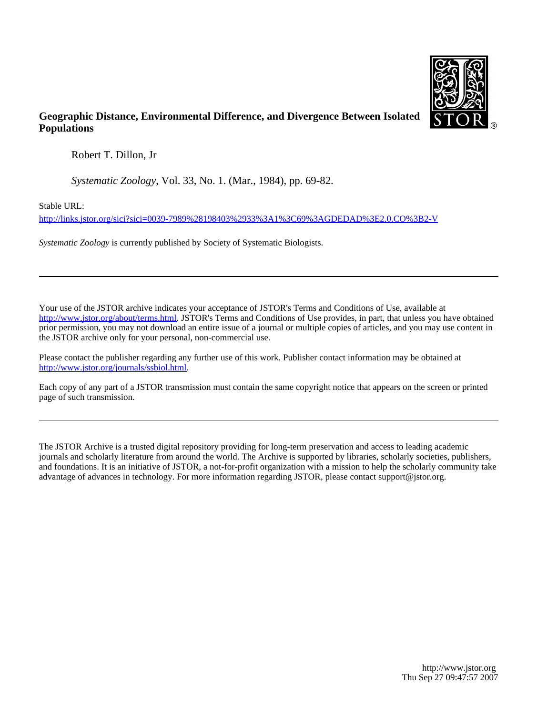

# **Geographic Distance, Environmental Difference, and Divergence Between Isolated Populations**

Robert T. Dillon, Jr

*Systematic Zoology*, Vol. 33, No. 1. (Mar., 1984), pp. 69-82.

Stable URL:

<http://links.jstor.org/sici?sici=0039-7989%28198403%2933%3A1%3C69%3AGDEDAD%3E2.0.CO%3B2-V>

*Systematic Zoology* is currently published by Society of Systematic Biologists.

Your use of the JSTOR archive indicates your acceptance of JSTOR's Terms and Conditions of Use, available at [http://www.jstor.org/about/terms.html.](http://www.jstor.org/about/terms.html) JSTOR's Terms and Conditions of Use provides, in part, that unless you have obtained prior permission, you may not download an entire issue of a journal or multiple copies of articles, and you may use content in the JSTOR archive only for your personal, non-commercial use.

Please contact the publisher regarding any further use of this work. Publisher contact information may be obtained at [http://www.jstor.org/journals/ssbiol.html.](http://www.jstor.org/journals/ssbiol.html)

Each copy of any part of a JSTOR transmission must contain the same copyright notice that appears on the screen or printed page of such transmission.

The JSTOR Archive is a trusted digital repository providing for long-term preservation and access to leading academic journals and scholarly literature from around the world. The Archive is supported by libraries, scholarly societies, publishers, and foundations. It is an initiative of JSTOR, a not-for-profit organization with a mission to help the scholarly community take advantage of advances in technology. For more information regarding JSTOR, please contact support@jstor.org.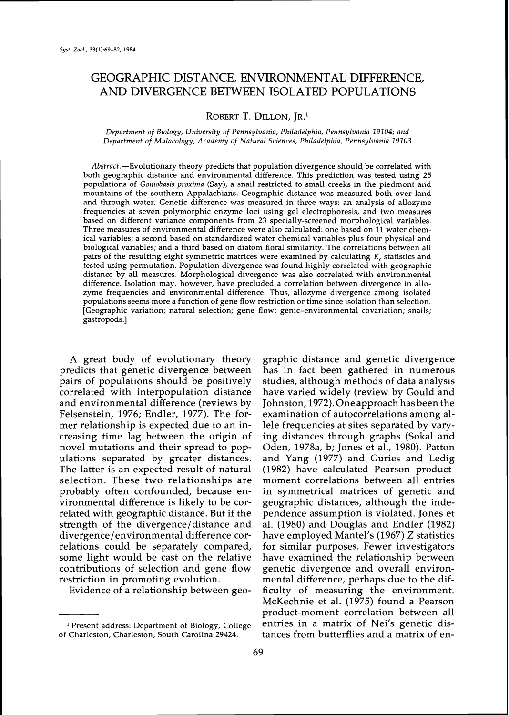# GEOGRAPHIC DISTANCE, ENVIRONMENTAL DIFFERENCE, AND DIVERGENCE BETWEEN ISOLATED POPULATIONS

ROBERT T. DILLON, IR.<sup>1</sup>

Department of Biology, University of Pennsylvania, Philadelphia, Pennsylvania 19104; and Department of Malacology, Academy of Natural Sciences, Philadelphia, Pennsylvania 19103

Abstract.-Evolutionary theory predicts that population divergence should be correlated with both geographic distance and environmental difference. This prediction was tested using **25**  populations of Goniobasis proxima (Say), a snail restricted to small creeks in the piedmont and mountains of the southern Appalachians. Geographic distance was measured both over land and through water. Genetic difference was measured in three ways: an analysis of allozyme frequencies at seven polymorphic enzyme loci using gel electrophoresis, and two measures based on different variance components from **23** specially-screened morphological variables. Three measures of environmental difference were also calculated: one based on 11 water chemical variables; a second based on standardized water chemical variables plus four physical and biological variables; and a third based on diatom floral similarity. The correlations between all pairs of the resulting eight symmetric matrices were examined by calculating *K,* statistics and tested using permutation. Population divergence was found highly correlated with geographic distance by all measures. Morphological divergence was also correlated with environmental difference. Isolation may, however, have precluded a correlation between divergence in allozyme frequencies and environmental difference. Thus, allozyme divergence among isolated populations seems more a function of gene flow restriction or time since isolation than selection. [Geographic variation; natural selection; gene flow; genic-environmental covariation; snails; gastropods.]

A great body of evolutionary theory graphic distance and genetic divergence predicts that genetic divergence between has in fact been gathered in numerous pairs of populations should be positively studies, although methods of data analysis correlated with interpopulation distance have varied widely (review by Gould and and environmental difference (reviews by Johnston, 1972). Oneapproach has been the Felsenstein, 1976; Endler, 1977). The for- examination of autocorrelations among almer relationship is expected due to an in- lele frequencies at sites separated by varycreasing time fag between the origin of ing distances through graphs (Sokal and novel mutations and their spread to pop- Oden, 1978a, b; Jones et al., 1980). Patton ulations separated by greater distances. and Yang (1977) and Guries and Ledig The latter is an expected result of natural (1982) have calculated Pearson productselection. These two relationships are probably often confounded, because en- in symmetrical matrices of genetic and vironmental difference is likely to be cor- geographic distances, although the inde-<br>related with geographic distance. But if the pendence assumption is violated. Jones et strength of the divergence/distance and al. (1980) and Douglas and Endler (1982) divergence/environmental difference cor- have employed Mantel's (1967) Z statistics relations could be separately compared, for similar purposes. Fewer investigators some light would be cast on the relative have examined the relationship between contributions of selection and gene flow genetic divergence and overall environ-

has in fact been gathered in numerous pendence assumption is violated. Jones et restriction in promoting evolution. mental difference, perhaps due to the dif-Evidence of a relationship between geo- ficulty of measuring the environment. McKechnie et al. (1975) found a Pearson product-moment correlation between all Present address: Department of Biology, College entries in a matrix of Nei's genetic distances from butterflies and a matrix of en-

<sup>&</sup>lt;sup>1</sup> Present address: Department of Biology, College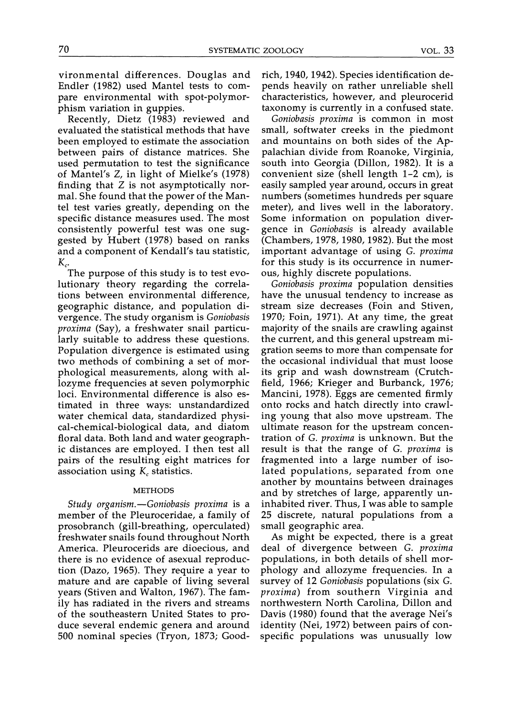vironmental differences. Douglas and Endler (1982) used Mantel tests to compare environmental with spot-polymorphism variation in guppies.

Recently, Dietz (1983) reviewed and evaluated the statistical methods that have been employed to estimate the association between pairs of distance matrices. She used permutation to test the significance of Mantel's Z, in light of Mielke's (1978) finding that Z is not asymptotically normal. She found that the power of the Mantel test varies greatly, depending on the specific distance measures used. The most consistently powerful test was one suggested by Hubert (1978) based on ranks and a component of Kendall's tau statistic,  $K_c$ .

The purpose of this study is to test evolutionary theory regarding the correlations between environmental difference, geographic distance, and population divergence. The study organism is *Goniobasis proxima* (Say), a freshwater snail particularly suitable to address these questions. Population divergence is estimated using two methods of combining a set of morphological measurements, along with allozyme frequencies at seven polymorphic loci. Environmental difference is also estimated in three ways: unstandardized water chemical data, standardized physical-chemical-biological data, and diatom floral data. Both land and water geographic distances are employed. I then test all pairs of the resulting eight matrices for association using  $K_c$  statistics.

### METHODS

*Study organism.-Goniobasis proxima* is a member of the Pleuroceridae, a family of prosobranch (gill-breathing, operculated) freshwater snails found throughout North America. Pleurocerids are dioecious, and there is no evidence of asexual reproduction (Dazo, 1965). They require a year to mature and are capable of living several years (Stiven and Walton, 1967). The family has radiated in the rivers and streams of the southeastern United States to produce several endemic genera and around 500 nominal species (Tryon, 1873; Goodrich, 1940, 1942). Species identification depends heavily on rather unreliable shell characteristics, however, and pleurocerid taxonomy is currently in a confused state.

*Goniobasis proxima* is common in most small, softwater creeks in the piedmont and mountains on both sides of the Appalachian divide from Roanoke, Virginia, south into Georgia (Dillon, 1982). It is a convenient size (shell length 1-2 cm), is easily sampled year around, occurs in great numbers (sometimes hundreds per square meter), and lives well in the laboratory. Some information on population divergence in *Goniobasis* is already available (Chambers, 1978,1980,1982). But the most important advantage of using *G. proxima*  for this study is its occurrence in numerous, highly discrete populations.

*Goniobasis proxima* population densities have the unusual tendency to increase as stream size decreases (Foin and Stiven, 1970; Foin, 1971). At any time, the great majority of the snails are crawling against the current, and this general upstream migration seems to more than compensate for the occasional individual that must loose its grip and wash downstream (Crutchfield, 1966; Krieger and Burbanck, 1976; Mancini, 1978). Eggs are cemented firmly onto rocks and hatch directly into crawling young that also move upstream. The ultimate reason for the upstream concentration of *G, proxima* is unknown. But the result is that the range of *G, proxima* is fragmented into a large number of isolated populations, separated from one another by mountains between drainages and by stretches of large, apparently uninhabited river. Thus, I was able to sample 25 discrete, natural populations from a small geographic area.

As might be expected, there is a great deal of divergence between *G. proxima*  populations, in both details of shell morphology and allozyme frequencies. In a survey of 12 *Goniobasis* populations (six *G. proxima)* from southern Virginia and northwestern North Carolina, Dillon and Davis (1980) found that the average Nei's identity (Nei, 1972) between pairs of conspecific populations was unusually low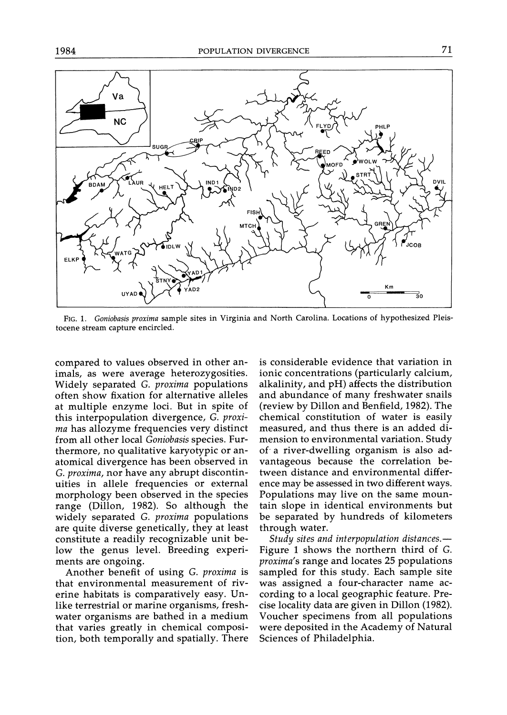

FIG. 1. *Goniobasis proxima* sample sites in Virginia and North Carolina. Locations of hypothesized Pleistocene stream capture encircled.

compared to values observed in other animals, as were average heterozygosities. Widely separated *G. proxima* populations often show fixation for alternative alleles at multiple enzyme loci. But in spite of this interpopulation divergence, *G. proxima* has allozyme frequencies very distinct from all other local *Goniobasis* species. Furthermore, no qualitative karyotypic or anatomical divergence has been observed in G. *proxima,* nor have any abrupt discontinuities in allele frequencies or external morphology been observed in the species range (Dillon, 1982). So although the widely separated *G. proxima* populations are quite diverse genetically, they at least constitute a readily recognizable unit below the genus level. Breeding experiments are ongoing.

Another benefit of using *G, proxima* is that environmental measurement of riverine habitats is comparatively easy. Unlike terrestrial or marine organisms, freshwater organisms are bathed in a medium that varies greatly in chemical composition, both temporally and spatially. There is considerable evidence that variation in ionic concentrations (particularly calcium, alkalinity, and pH) affects the distribution and abundance of many freshwater snails (review by Dillon and Benfield, 1982). The chemical constitution of water is easily measured, and thus there is an added dimension to environmental variation. Study of a river-dwelling organism is also advantageous because the correlation between distance and environmental difference may be assessed in two different ways. Populations may live on the same mountain slope in identical environments but be separated by hundreds of kilometers through water.

*Study sites and interpopulation distances.-*  Figure 1 shows the northern third of *G. proxima's* range and locates 25 populations sampled for this study. Each sample site was assigned a four-character name according to a local geographic feature. Precise locality data are given in Dillon (1982). Voucher specimens from all populations were deposited in the Academy of Natural Sciences of Philadelphia.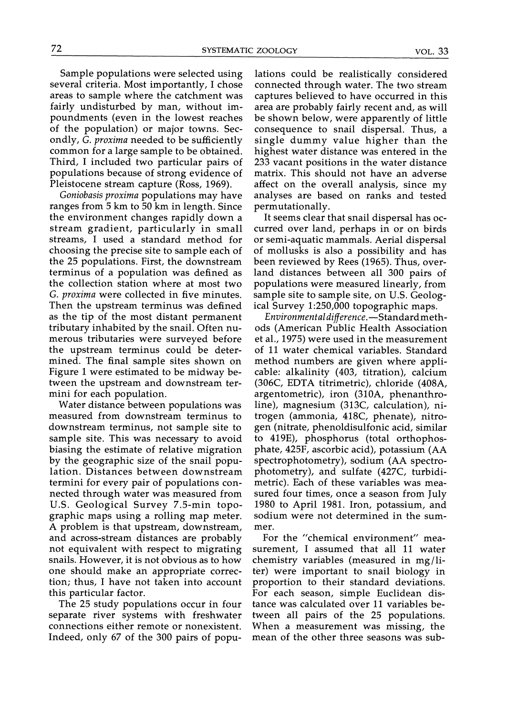Sample populations were selected using several criteria. Most importantly, I chose areas to sample where the catchment was fairly undisturbed by man, without impoundments (even in the lowest reaches of the population) or major towns. Secondly, G. proxima needed to be sufficiently common for a large sample to be obtained. Third, I included two particular pairs of populations because of strong evidence of Pleistocene stream capture (Ross, 1969).

Goniobasis proxima populations may have ranges from 5 km to 50 km in length. Since the environment changes rapidly down a stream gradient, particularly in small streams, I used a standard method for choosing the precise site to sample each of the 25 populations. First, the downstream terminus of a population was defined as the collection station where at most two G. proxima were collected in five minutes. Then the upstream terminus was defined as the tip of the most distant permanent tributary inhabited by the snail. Often numerous tributaries were surveyed before the upstream terminus could be determined. The final sample sites shown on Figure 1 were estimated to be midway between the upstream and downstream termini for each population.

Water distance between populations was measured from downstream terminus to downstream terminus, not sample site to sample site. This was necessary to avoid biasing the estimate of relative migration by the geographic size of the snail population. Distances between downstream termini for every pair of populations connected through water was measured from U.S. Geological Survey 7.5-min topographic maps using a rolling map meter. A problem is that upstream, downstream, and across-stream distances are probably not equivalent with respect to migrating snails. However, it is not obvious as to how one should make an appropriate correction; thus, I have not taken into account this particular factor.

The 25 study populations occur in four separate river systems with freshwater connections either remote or nonexistent. Indeed, only 67 of the 300 pairs of popu-

lations could be realistically considered connected through water. The two stream captures believed to have occurred in this area are probably fairly recent and, as will be shown below, were apparently of little consequence to snail dispersal. Thus, a single dummy value higher than the highest water distance was entered in the 233 vacant positions in the water distance matrix. This should not have an adverse affect on the overall analysis, since my analyses are based on ranks and tested permutationally.

It seems clear that snail dispersal has occurred over land, perhaps in or on birds or semi-aquatic mammals. Aerial dispersal of mollusks is also a possibility and has been reviewed by Rees (1965). Thus, overland distances between all 300 pairs of populations were measured linearly, from sample site to sample site, on U.S. Geological Survey 1:250,000 topographic maps.

Environmental difference. - Standard methods (American Public Health Association et al., 1975) were used in the measurement of 11 water chemical variables. Standard method numbers are given where applicable: alkalinity (403, titration), calcium (306C, EDTA titrimetric), chloride (408A, argentometric), iron (310A, phenanthroline), magnesium (313C, calculation), nitrogen (ammonia, 418C, phenate), nitrogen (nitrate, phenoldisulfonic acid, similar to 419E), phosphorus (total orthophosphate, 425F, ascorbic acid), potassium (AA spectrophotometry), sodium (AA spectrophotometry), and sulfate (427C, turbidimetric). Each of these variables was measured four times, once a season from July 1980 to April 1981. Iron, potassium, and sodium were not determined in the summer.

For the "chemical environment" measurement, I assumed that all 11 water chemistry variables (measured in mg/liter) were important to snail biology in proportion to their standard deviations. For each season, simple Euclidean distance was calculated over 11 variables between all pairs of the 25 populations. When a measurement was missing, the mean of the other three seasons was sub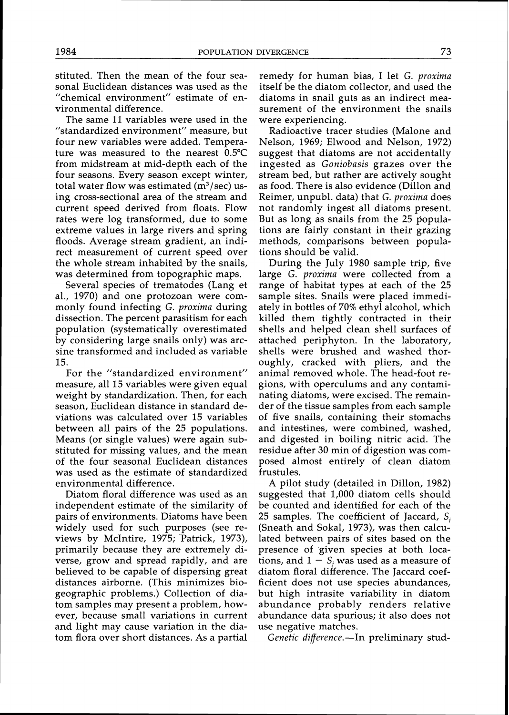stituted. Then the mean of the four seasonal Euclidean distances was used as the "chemical environment" estimate of environmental difference.

The same 11 variables were used in the "standardized environment" measure, but four new variables were added. Temperature was measured to the nearest 0.5"C from midstream at mid-depth each of the four seasons. Every season except winter, total water flow was estimated  $(m^3/sec)$  using cross-sectional area of the stream and current speed derived from floats. Flow rates were log transformed, due to some extreme values in large rivers and spring floods. Average stream gradient, an indirect measurement of current speed over the whole stream inhabited by the snails, was determined from topographic maps.

Several species of trematodes (Lang et al., 1970) and one protozoan were commonly found infecting G. proxima during dissection. The percent parasitism for each population (systematically overestimated by considering large snails only) was arcsine transformed and included as variable 15.

For the "standardized environment" measure, all 15 variables were given equal weight by standardization. Then, for each season, Euclidean distance in standard deviations was calculated over 15 variables between all pairs of the 25 populations. Means (or single values) were again substituted for missing values, and the mean of the four seasonal Euclidean distances was used as the estimate of standardized environmental difference.

Diatom floral difference was used as an independent estimate of the similarity of pairs of environments. Diatoms have been widely used for such purposes (see reviews by McIntire, 1975; Patrick, 1973), primarily because they are extremely diverse, grow and spread rapidly, and are believed to be capable of dispersing great distances airborne. (This minimizes biogeographic problems.) Collection of diatom samples may present a problem, however, because small variations in current and light may cause variation in the diatom flora over short distances. As a partial

remedy for human bias, I let G. proxima itself be the diatom collector, and used the diatoms in snail guts as an indirect measurement of the environment the snails were experiencing.

Radioactive tracer studies (Malone and Nelson, 1969; Elwood and Nelson, 1972) suggest that diatoms are not accidentally ingested as Goniobasis grazes over the stream bed, but rather are actively sought as food. There is also evidence (Dillon and Reimer, unpubl. data) that G. proxima does not randomly ingest all diatoms present. But as long as snails from the 25 populations are fairly constant in their grazing methods, comparisons between populations should be valid.

During the July 1980 sample trip, five large G. proxima were collected from a range of habitat types at each of the 25 sample sites. Snails were placed immediately in bottles of 70% ethyl alcohol, which killed them tightly contracted in their shells and helped clean shell surfaces of attached periphyton. In the laboratory, shells were brushed and washed thoroughly, cracked with pliers, and the animal removed whole. The head-foot regions, with operculums and any contaminating diatoms, were excised. The remainder of the tissue samples from each sample of five snails, containing their stomachs and intestines, were combined, washed, and digested in boiling nitric acid. The residue after 30 min of digestion was composed almost entirely of clean diatom frustules.

A pilot study (detailed in Dillon, 1982) suggested that 1,000 diatom cells should be counted and identified for each of the 25 samples. The coefficient of Jaccard, *Sj*  (Sneath and Sokal, 1973), was then calculated between pairs of sites based on the presence of given species at both locations, and  $1 - S_i$  was used as a measure of diatom floral difference. The Jaccard coefficient does not use species abundances, but high intrasite variability in diatom abundance probably renders relative abundance data spurious; it also does not use negative matches.

Genetic difference.-In preliminary stud-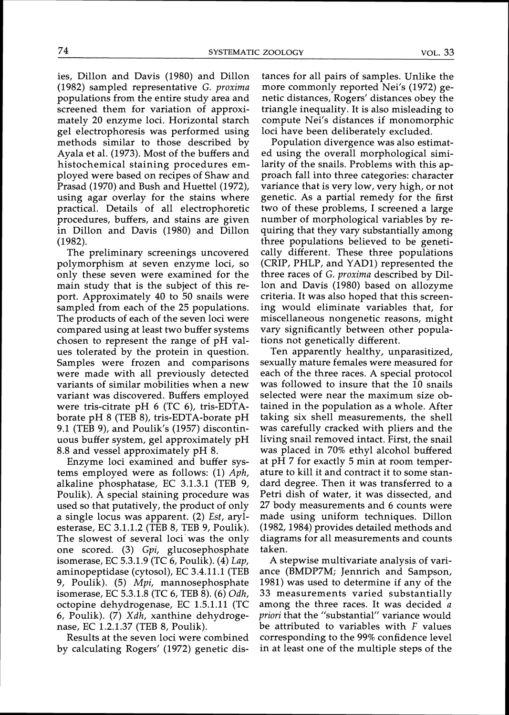ies, Dillon and Davis (1980) and Dillon (1982) sampled representative G. *proxima*  populations from the entire study area and screened them for variation of approximately 20 enzyme loci. Horizontal starch gel electrophoresis was performed using methods similar to those described by Ayala et al. (1973). Most of the buffers and histochemical staining procedures employed were based on recipes of Shaw and Prasad (1970) and Bush and Huettel (1972), using agar overlay for the stains where practical. Details of all electrophoretic procedures, buffers, and stains are given in Dillon and Davis (1980) and Dillon (1982).

The preliminary screenings uncovered polymorphism at seven enzyme loci, so only these seven were examined for the main study that is the subject of this report. Approximately 40 to 50 snails were sampled from each of the 25 populations. The products of each of the seven loci were compared using at least two buffer systems chosen to represent the range of pH values tolerated by the protein in question. Samples were frozen and comparisons were made with all previously detected variants of similar mobilities when a new variant was discovered. Buffers employed were tris-citrate pH 6 (TC 6), tris-EDTAborate pH 8 (TEB 8), tris-EDTA-borate pH 9.1 (TEB 9), and Poulik's (1957) discontinuous buffer system, gel approximately pH 8.8 and vessel approximately pH 8.

Enzyme loci examined and buffer systems employed were as follows: (1) *Aph,*  alkaline phosphatase, EC 3.1.3.1 (TEB 9, Poulik). A special staining procedure was used so that putatively, the product of only a single locus was apparent. (2) Est, arylesterase, EC 3.1.1.2 (TEB 8, TEB 9, Poulik). The slowest of several loci was the only one scored. (3) *Gpi,* glucosephosphate isomerase, EC 5.3.1.9 (TC 6, Poulik). (4) *Lap,*  aminopeptidase (cytosol), EC 3.4.1 1.1 (TEB 9, Poulik). (5) *Mpi,* mannosephosphate isomerase, EC 5.3.1.8 (TC 6, TEB 8). (6) *Odh,*  octopine dehydrogenase, EC 1.5.1.11 (TC 6, Poulik). (7) *Xdh,* xanthine dehydrogenase, EC 1.2.1.37 (TEB 8, Poulik).

Results at the seven loci were combined by calculating Rogers' (1972) genetic distances for all pairs of samples. Unlike the more commonly reported Nei's (1972) genetic distances, Rogers' distances obey the triangle inequality. It is also misleading to compute Nei's distances if monomorphic loci have been deliberatelv excluded.

Population divergence was also estimated using the overall morphological similarity of the snails. Problems with this approach fall into three categories: character variance that is very low, very high, or not genetic. As a partial remedy for the first two of these problems, I screened a large number of morphological variables by requiring that they vary substantially among three populations believed to be genetically different. These three populations (CRIP, PHLP, and YAD1) represented the three races of G. *proxima* described by Dillon and Davis (1980) based on allozyme criteria. It was also hoped that this screening would eliminate variables that, for miscellaneous nongenetic reasons, might vary significantly between other populations not genetically different.

Ten apparently healthy, unparasitized, sexuallv mature females were measured for each of the three races. A special protocol was followed to insure that the 10 snails selected were near the maximum size obtained in the population as a whole. After taking six shell measurements, the shell was carefully cracked with pliers and the living snail removed intact. First, the snail was placed in 70% ethyl alcohol buffered at pH 7 for exactly 5 min at room temperature to kill it and contract it to some standard degree. Then it was transferred to a Petri dish of water, it was dissected, and 27 body measurements and 6 counts were made using uniform techniques. Dillon (1982, 1984) provides detailed methods and diagrams for all measurements and counts taken.

A stepwise multivariate analysis of variance (BMDP7M; Jennrich and Sampson, 1981) was used to determine if any of the 33 measurements varied substantially among the three races. It was decided a *priori* that the "substantial" variance would be attributed to variables with F values corresponding to the 99% confidence level in at least one of the multiple steps of the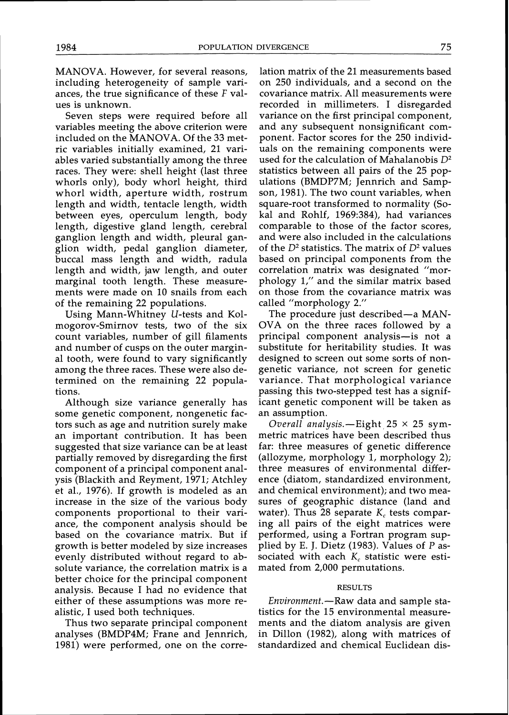MANOVA. However, for several reasons, including heterogeneity of sample variances, the true significance of these F values is unknown.

Seven steps were required before all variables meeting the above criterion were included on the MANOVA. Of the 33 metric variables initially examined, 21 variables varied substantially among the three races. They were: shell height (last three whorls only), body whorl height, third whorl width, aperture width, rostrum length and width, tentacle length, width between eyes, operculum length, body length, digestive gland length, cerebral ganglion length and width, pleural ganglion width, pedal ganglion diameter, buccal mass length and width, radula length and width, jaw length, and outer marginal tooth length. These measurements were made on 10 snails from each of the remaining 22 populations.

Using Mann-Whitney U-tests and Kolmogorov-Smirnov tests, two of the six count variables, number of gill filaments and number of cusps on the outer marginal tooth, were found to vary significantly among the three races. These were also determined on the remaining 22 populations.

Although size variance generally has some genetic component, nongenetic factors such as age and nutrition surely make an important contribution. It has been suggested that size variance can be at least partially removed by disregarding the first component of a principal component analysis (Blackith and Reyment, 1971; Atchley et al., 1976). If growth is modeled as an increase in the size of the various body components proportional to their variance, the component analysis should be based on the covariance matrix. But if growth is better modeled by size increases evenly distributed without regard to absolute variance, the correlation matrix is a better choice for the principal component analysis. Because I had no evidence that either of these assumptions was more realistic, I used both techniques.

Thus two separate principal component analyses (BMDP4M; Frane and Jennrich, 1981) were performed, one on the corre-

lation matrix of the 21 measurements based on 250 individuals, and a second on the covariance matrix. All measurements were recorded in millimeters. I disregarded variance on the first principal component, and any subsequent nonsignificant component. Factor scores for the 250 individuals on the remaining components were used for the calculation of Mahalanobis  $D^2$ statistics between all pairs of the 25 populations (BMDP7M; Jennrich and Sampson, 1981). The two count variables, when square-root transformed to normality (Sokal and Rohlf, 1969:384), had variances comparable to those of the factor scores, and were also included in the calculations of the  $D^2$  statistics. The matrix of  $D^2$  values based on principal components from the correlation matrix was designated "morphology 1," and the similar matrix based on those from the covariance matrix was called "morphology 2."

The procedure just described—a MAN-OVA on the three races followed by a principal component analysis-is not a substitute for heritability studies. It was designed to screen out some sorts of nongenetic variance, not screen for genetic variance. That morphological variance passing this two-stepped test has a significant genetic component will be taken as an assumption.

Overall analysis.-Eight  $25 \times 25$  symmetric matrices have been described thus far: three measures of genetic difference (allozyme, morphology 1, morphology 2); three measures of environmental difference (diatom, standardized environment, and chemical environment); and two measures of geographic distance (land and water). Thus 28 separate  $K_c$  tests comparing all pairs of the eight matrices were performed, using a Fortran program supplied by E. J. Dietz (1983). Values of P associated with each *K<sub>c</sub>* statistic were estimated from 2,000 permutations.

## RESULTS

Environment.-Raw data and sample statistics for the 15 environmental measurements and the diatom analysis are given in Dillon (1982), along with matrices of standardized and chemical Euclidean dis-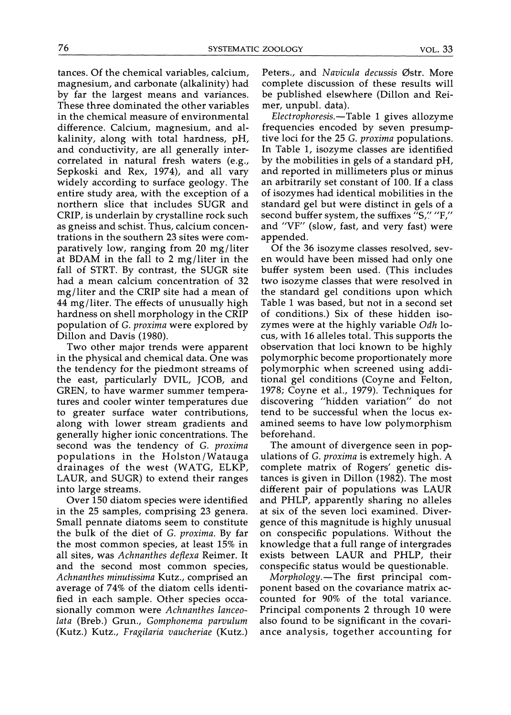tances. Of the chemical variables, calcium, magnesium, and carbonate (alkalinity) had by far the largest means and variances. These three dominated the other variables in the chemical measure of environmental difference. Calcium, magnesium, and alkalinity, along with total hardness, pH, and conductivity, are all generally intercorrelated in natural fresh waters (e.g., Sepkoski and Rex, 1974), and all vary widely according to surface geology. The entire study area, with the exception of a northern slice that includes SUGR and CRIP, is underlain by crystalline rock such as gneiss and schist. Thus, calcium concentrations in the southern 23 sites were comparatively low, ranging from  $20$  mg/liter at BDAM in the fall to 2 mg/liter in the fall of STRT. By contrast, the SUGR site had a mean calcium concentration of 32 mg/liter and the CRIP site had a mean of 44 mg/liter. The effects of unusually high hardness on shell morphology in the CRIP population of G. proxima were explored by Dillon and Davis (1980).

Two other major trends were apparent in the physical and chemical data. One was the tendency for the piedmont streams of the east, particularly DVIL, JCOB, and GREN, to have warmer summer temperatures and cooler winter temperatures due to greater surface water contributions, along with lower stream gradients and generally higher ionic concentrations. The second was the tendency of G. proxima populations in the Holston/Watauga drainages of the west (WATG, ELKP, LAUR, and SUGR) to extend their ranges into large streams.

Over 150 diatom species were identified in the 25 samples, comprising 23 genera. Small pennate diatoms seem to constitute the bulk of the diet of G. proxima. By far the most common species, at least 15% in all sites, was Achnanthes deflexa Reimer. It and the second most common species, Achnanthes minutissima Kutz., comprised an average of 74% of the diatom cells identified in each sample. Other species occasionally common were Achnanthes lanceolata (Breb.) Grun., Gomphonema parvulum (Kutz.) Kutz., Fragilaria vaucheriae (Kutz.)

Peters., and Navicula decussis Østr. More complete discussion of these results will be published elsewhere (Dillon and Reimer, unpubl. data).

 $Electrophoresis. -Table 1 gives all ozyme$ frequencies encoded by seven presumptive loci for the 25 G. *proxima* populations. In Table 1, isozyme classes are identified by the mobilities in gels of a standard pH, and reported in millimeters plus or minus an arbitrarily set constant of 100. If a class of isozymes had identical mobilities in the standard gel but were distinct in gels of a second buffer system, the suffixes "S," "F," and "VF" (slow, fast, and very fast) were appended.

Of the 36 isozyme classes resolved, seven would have been missed had only one buffer system been used. (This includes two isozyme classes that were resolved in the standard gel conditions upon which Table 1 was based, but not in a second set of conditions.) Six of these hidden isozymes were at the highly variable Odh locus, with 16 alleles total. This supports the observation that loci known to be highly polymorphic become proportionately more polymorphic when screened using additional gel conditions (Coyne and Felton, 1978; Coyne et al., 1979). Techniques for discovering "hidden variation" do not tend to be successful when the locus examined seems to have low polymorphism beforehand.

The amount of divergence seen in populations of G. proxima is extremely high. A complete matrix of Rogers' genetic distances is given in Dillon (1982). The most different pair of populations was LAUR and PHLP, apparently sharing no alleles at six of the seven loci examined. Divergence of this magnitude is highly unusual on conspecific populations. Without the knowledge that a full range of intergrades exists between LAUR and PHLP, their conspecific status would be questionable.

Morphology.-The first principal component based on the covariance matrix accounted for 90% of the total variance. Principal components 2 through 10 were also found to be significant in the covariance analysis, together accounting for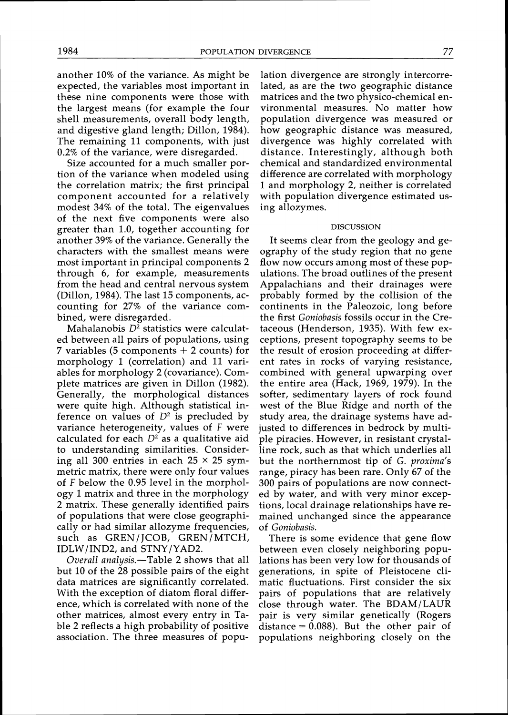another 10% of the variance. As might be expected, the variables most important in these nine components were those with the largest means (for example the four shell measurements, overall body length, and digestive gland length; Dillon, 1984). The remaining 11 components, with just 0.2% of the variance, were disregarded.

Size accounted for a much smaller portion of the variance when modeled using the correlation matrix; the first principal component accounted for a relatively modest 34% of the total. The eigenvalues of the next five components were also greater than 1.0, together accounting for another 39% of the variance. Generally the characters with the smallest means were most important in principal components 2 through 6, for example, measurements from the head and central nervous system (Dillon, 1984). The last 15 components, accounting for 27% of the variance combined, were disregarded.

Mahalanobis  $D^2$  statistics were calculated between all pairs of populations, using 7 variables (5 components  $+$  2 counts) for morphology 1 (correlation) and 11 variables for morphology 2 (covariance). Complete matrices are given in Dillon (1982). Generally, the morphological distances were quite high. Although statistical inference on values of  $D<sup>2</sup>$  is precluded by variance heterogeneity, values of F were calculated for each  $D^2$  as a qualitative aid to understanding similarities. Considering all 300 entries in each  $25 \times 25$  symmetric matrix, there were only four values of F below the 0.95 level in the morphology 1 matrix and three in the morphology 2 matrix. These generally identified pairs of populations that were close geographically or had similar allozyme frequencies, such as GREN/JCOB, GREN/MTCH, IDLW/IND2, and STNY/YAD2.

Overall analysis.-Table 2 shows that all but 10 of the 28 possible pairs of the eight data matrices are significantly correlated. With the exception of diatom floral difference, which is correlated with none of the other matrices, almost every entry in Table 2 reflects a high probability of positive association. The three measures of population divergence are strongly intercorrelated, as are the two geographic distance matrices and the two physico-chemical environmental measures. No matter how population divergence was measured or how geographic distance was measured, divergence was highly correlated with distance. Interestingly, although both chemical and standardized environmental difference are correlated with morphology 1 and morphology 2, neither is correlated with population divergence estimated using allozymes.

### DISCUSSION

It seems clear from the geology and geography of the study region that no gene flow now occurs among most of these populations. The broad outlines of the present Appalachians and their drainages were probably formed by the collision of the continents in the Paleozoic, long before the first Goniobasis fossils occur in the Cretaceous (Henderson, 1935). With few exceptions, present topography seems to be the result of erosion proceeding at different rates in rocks of varying resistance, combined with general upwarping over the entire area (Hack, 1969, 1979). In the softer, sedimentary layers of rock found west of the Blue Ridge and north of the study area, the drainage systems have adjusted to differences in bedrock by multiple piracies. However, in resistant crystalline rock, such as that which underlies all but the northernmost tip of G. proxima's range, piracy has been rare. Only 67 of the 300 pairs of populations are now connected by water, and with very minor exceptions, local drainage relationships have remained unchanged since the appearance of Goniobasis.

There is some evidence that gene flow between even closely neighboring populations has been very low for thousands of generations, in spite of Pleistocene climatic fluctuations. First consider the six pairs of populations that are relatively close through water. The BDAM/LAUR pair is very similar genetically (Rogers distance  $= 0.088$ ). But the other pair of populations neighboring closely on the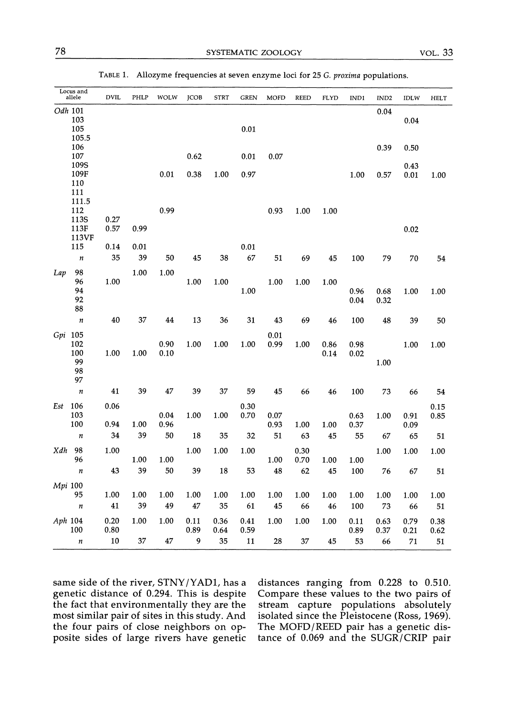| Locus and<br>allele                     | <b>DVIL</b>  | PHLP       | WOLW         | <b>JCOB</b>  | <b>STRT</b>  | <b>GREN</b>  | <b>MOFD</b>  | <b>REED</b>  | FLYD         | IND1         | IND <sub>2</sub> | IDLW         | <b>HELT</b>  |
|-----------------------------------------|--------------|------------|--------------|--------------|--------------|--------------|--------------|--------------|--------------|--------------|------------------|--------------|--------------|
| Odh 101<br>103<br>105                   |              |            |              |              |              | 0.01         |              |              |              |              | 0.04             | 0.04         |              |
| 105.5<br>106<br>107                     |              |            |              | 0.62         |              | 0.01         | 0.07         |              |              |              | 0.39             | 0.50         |              |
| 109S<br>109F<br>110<br>111              |              |            | 0.01         | 0.38         | 1.00         | 0.97         |              |              |              | 1.00         | 0.57             | 0.43<br>0.01 | 1.00         |
| 111.5<br>112<br>113S                    | 0.27         |            | 0.99         |              |              |              | 0.93         | 1.00         | 1.00         |              |                  |              |              |
| 113F<br>113VF                           | 0.57         | 0.99       |              |              |              |              |              |              |              |              |                  | 0.02         |              |
| 115                                     | 0.14         | 0.01       |              |              |              | 0.01         |              |              |              |              |                  |              |              |
| $\boldsymbol{n}$                        | 35           | 39         | 50           | 45           | 38           | 67           | 51           | 69           | 45           | 100          | 79               | 70           | 54           |
| 98<br>Lap<br>96<br>94<br>92             | 1.00         | 1.00       | 1.00         | 1.00         | 1.00         | 1.00         | 1.00         | 1.00         | 1.00         | 0.96<br>0.04 | 0.68<br>0.32     | 1.00         | 1.00         |
| 88<br>$\boldsymbol{n}$                  | 40           | 37         | 44           | 13           | 36           | 31           | 43           | 69           | 46           | 100          | 48               | 39           | 50           |
| Gpi 105<br>102<br>100<br>99<br>98<br>97 | 1.00         | 1.00       | 0.90<br>0.10 | 1.00         | 1.00         | 1.00         | 0.01<br>0.99 | 1.00         | 0.86<br>0.14 | 0.98<br>0.02 | 1.00             | 1.00         | 1.00         |
| $\boldsymbol{n}$                        | 41           | 39         | 47           | 39           | 37           | 59           | 45           | 66           | 46           | 100          | 73               | 66           | 54           |
| 106<br>Est<br>103<br>100                | 0.06<br>0.94 | 1.00       | 0.04<br>0.96 | 1.00         | 1.00         | 0.30<br>0.70 | 0.07<br>0.93 | 1.00         | 1.00         | 0.63<br>0.37 | 1.00             | 0.91<br>0.09 | 0.15<br>0.85 |
| $\boldsymbol{n}$                        | 34           | 39         | 50           | 18           | 35           | 32           | 51           | 63           | 45           | 55           | 67               | 65           | 51           |
| 98<br>Xdh<br>96                         | 1.00         | 1.00       | 1.00         | 1.00         | 1.00         | 1.00         | 1.00         | 0.30<br>0.70 | 1.00         | 1.00         | 1.00             | 1.00         | 1.00         |
| $\boldsymbol{n}$                        | 43           | 39         | 50           | 39           | 18           | 53           | 48           | 62           | 45           | 100          | 76               | 67           | 51           |
| Mpi 100                                 |              |            |              |              |              |              |              |              |              |              |                  |              |              |
| 95<br>$\boldsymbol{n}$                  | 1.00<br>41   | 1.00<br>39 | 1.00<br>49   | 1.00<br>47   | 1.00<br>35   | 1.00<br>61   | 1.00<br>45   | 1.00<br>66   | 1.00<br>46   | 1.00<br>100  | 1.00<br>73       | 1.00<br>66   | 1.00<br>51   |
| Aph 104<br>100                          | 0.20<br>0.80 | 1.00       | 1.00         | 0.11<br>0.89 | 0.36<br>0.64 | 0.41<br>0.59 | 1.00         | 1.00         | 1.00         | 0.11<br>0.89 | 0.63<br>0.37     | 0.79<br>0.21 | 0.38<br>0.62 |
| $\boldsymbol{n}$                        | 10           | 37         | 47           | 9            | 35           | 11           | 28           | 37           | 45           | 53           | 66               | 71           | 51           |

TABLE1. Allozyme frequencies at seven enzyme loci for 25 *G, proxima* populations.

same side of the river,  $STNY/YADI$ , has a distances ranging from 0.228 to 0.510.<br>genetic distance of 0.294. This is despite Compare these values to the two pairs of genetic distance of 0.294. This is despite Compare these values to the two pairs of the fact that environmentally they are the stream capture populations absolutely the fact that environmentally they are the stream capture populations absolutely most similar pair of sites in this study. And isolated since the Pleistocene (Ross, 1969). most similar pair of sites in this study. And isolated since the Pleistocene (Ross, 1969).<br>the four pairs of close neighbors on op- The MOFD/REED pair has a genetic dis-

the four pairs of close neighbors on op- The MOFD/REED pair has a genetic dis-<br>posite sides of large rivers have genetic tance of 0.069 and the SUGR/CRIP pair tance of 0.069 and the SUGR/CRIP pair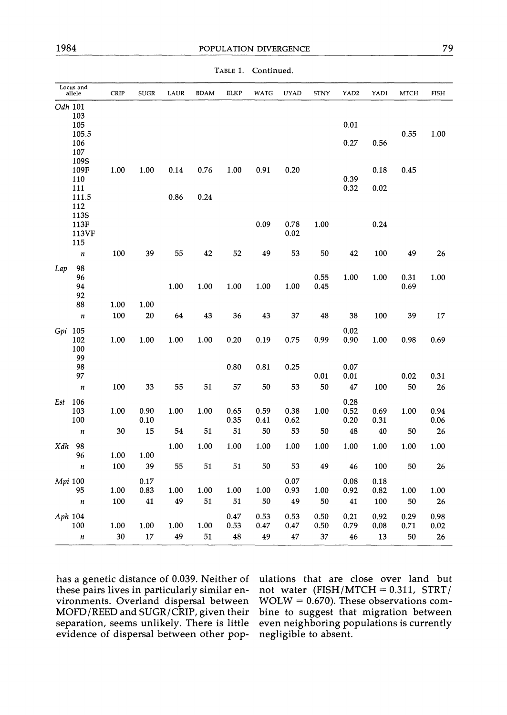|         | Locus and<br>allele | CRIP | <b>SUGR</b>  | LAUR | <b>BDAM</b> | <b>ELKP</b>  | WATG         | <b>UYAD</b>  | STNY         | YAD2                 | YAD1         | <b>MTCH</b>  | <b>FISH</b>  |
|---------|---------------------|------|--------------|------|-------------|--------------|--------------|--------------|--------------|----------------------|--------------|--------------|--------------|
|         | Odh 101<br>103      |      |              |      |             |              |              |              |              |                      |              |              |              |
|         | 105<br>105.5        |      |              |      |             |              |              |              |              | 0.01                 |              | 0.55         | 1.00         |
|         | 106<br>107          |      |              |      |             |              |              |              |              | 0.27                 | 0.56         |              |              |
|         | 109S<br>109F        | 1.00 | 1.00         | 0.14 | 0.76        | 1.00         | 0.91         | 0.20         |              |                      | 0.18         | 0.45         |              |
|         | 110<br>111          |      |              |      |             |              |              |              |              | 0.39<br>0.32         | 0.02         |              |              |
|         | 111.5<br>112        |      |              | 0.86 | 0.24        |              |              |              |              |                      |              |              |              |
|         | 113S<br>113F        |      |              |      |             |              | 0.09         | 0.78         | 1.00         |                      | 0.24         |              |              |
|         | 113VF<br>115        |      |              |      |             |              |              | 0.02         |              |                      |              |              |              |
|         | $\boldsymbol{n}$    | 100  | 39           | 55   | 42          | 52           | 49           | 53           | 50           | 42                   | 100          | 49           | 26           |
| Lap     | 98<br>96            |      |              |      |             |              |              |              | 0.55         | 1.00                 | 1.00         | 0.31         | 1.00         |
|         | 94                  |      |              | 1.00 | 1.00        | 1.00         | 1.00         | 1.00         | 0.45         |                      |              | 0.69         |              |
|         | 92<br>88            | 1.00 | 1.00         |      |             |              |              |              |              |                      |              |              |              |
|         | $\boldsymbol{n}$    | 100  | 20           | 64   | 43          | 36           | 43           | 37           | 48           | 38                   | 100          | 39           | 17           |
| Gpi 105 | 102<br>100<br>99    | 1.00 | 1.00         | 1.00 | 1.00        | 0.20         | 0.19         | 0.75         | 0.99         | 0.02<br>0.90         | 1.00         | 0.98         | 0.69         |
|         | 98<br>97            |      |              |      |             | 0.80         | 0.81         | 0.25         | 0.01         | 0.07<br>0.01         |              | 0.02         | 0.31         |
|         | $\boldsymbol{n}$    | 100  | 33           | 55   | 51          | 57           | 50           | 53           | 50           | 47                   | 100          | 50           | 26           |
| Est     | 106<br>103<br>100   | 1.00 | 0.90<br>0.10 | 1.00 | 1.00        | 0.65<br>0.35 | 0.59<br>0.41 | 0.38<br>0.62 | 1.00         | 0.28<br>0.52<br>0.20 | 0.69<br>0.31 | 1.00         | 0.94<br>0.06 |
|         | $\boldsymbol{n}$    | 30   | 15           | 54   | 51          | 51           | 50           | 53           | 50           | 48                   | 40           | 50           | 26           |
| Xdh     | 98<br>96            | 1.00 | 1.00         | 1.00 | 1.00        | 1.00         | 1.00         | 1.00         | 1.00         | 1.00                 | 1.00         | 1.00         | 1.00         |
|         | $\boldsymbol{n}$    | 100  | 39           | 55   | 51          | 51           | 50           | 53           | 49           | 46                   | 100          | 50           | 26           |
| Mpi 100 | 95                  | 1.00 | 0.17<br>0.83 | 1.00 | 1.00        | 1.00         | 1.00         | 0.07<br>0.93 | 1.00         | 0.08<br>0.92         | 0.18<br>0.82 | 1.00         | 1.00         |
|         | $\boldsymbol{n}$    | 100  | 41           | 49   | 51          | 51           | 50           | 49           | 50           | 41                   | 100          | 50           | 26           |
| Aph 104 | 100                 | 1.00 | 1.00         | 1.00 | 1.00        | 0.47<br>0.53 | 0.53<br>0.47 | 0.53<br>0.47 | 0.50<br>0.50 | 0.21<br>0.79         | 0.92<br>0.08 | 0.29<br>0.71 | 0.98<br>0.02 |
|         | n                   | 30   | $17\,$       | 49   | 51          | 48           | 49           | 47           | 37           | 46                   | 13           | 50           | 26           |

TABLE1. Continued.

these pairs lives in particularly similar en- not water (FISH/MTCH = 0.311, STRT/ vironments. Overland dispersal between  $WOLW = 0.670$ ). These observations comvironments. Overland dispersal between MOFD/REED and SUGR/CRIP, given their  $MOFD/REED$  and  $SUGR/CRIP$ , given their bine to suggest that migration between separation, seems unlikely. There is little even neighboring populations is currently evidence of dispersal between other pop- negligible to absent.

has a genetic distance of 0.039. Neither of ulations that are close over land but these pairs lives in particularly similar en- not water (FISH/MTCH = 0.311, STRT/ even neighboring populations is currently.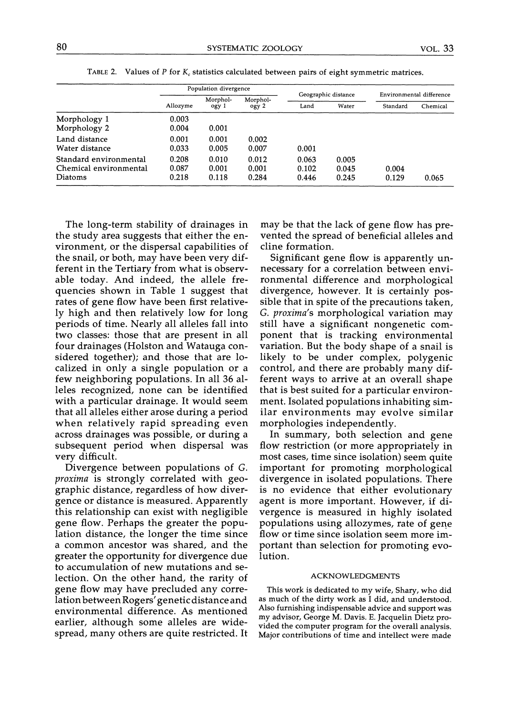| 80                                               | SYSTEMATIC ZOOLOGY    |                   |                   | <b>VOL.</b> 33                                                                           |                |                          |          |  |
|--------------------------------------------------|-----------------------|-------------------|-------------------|------------------------------------------------------------------------------------------|----------------|--------------------------|----------|--|
| TABLE 2.                                         |                       |                   |                   |                                                                                          |                |                          |          |  |
|                                                  |                       |                   |                   | Values of $P$ for $K_c$ statistics calculated between pairs of eight symmetric matrices. |                |                          |          |  |
|                                                  | Population divergence |                   |                   | Geographic distance                                                                      |                | Environmental difference |          |  |
|                                                  | Allozyme              | Morphol-<br>ogy 1 | Morphol-<br>ogy 2 | Land                                                                                     | Water          | Standard                 | Chemical |  |
| Morphology 1                                     | 0.003                 |                   |                   |                                                                                          |                |                          |          |  |
| Morphology 2                                     |                       |                   |                   |                                                                                          |                |                          |          |  |
|                                                  | 0.004                 | 0.001             |                   |                                                                                          |                |                          |          |  |
| Land distance                                    | 0.001                 | 0.001             | 0.002             |                                                                                          |                |                          |          |  |
| Water distance                                   | 0.033                 | 0.005             | 0.007             | 0.001                                                                                    |                |                          |          |  |
| Standard environmental<br>Chemical environmental | 0.208<br>0.087        | 0.010<br>0.001    | 0.012<br>0.001    | 0.063<br>0.102                                                                           | 0.005<br>0.045 | 0.004                    |          |  |

TABLE 2. Values of  $P$  for  $K_c$  statistics calculated between pairs of eight symmetric matrices.

The long-term stability of drainages in the study area suggests that either the environment, or the dispersal capabilities of the snail, or both, may have been very different in the Tertiary from what is observable today. And indeed, the allele frequencies shown in Table 1 suggest that rates of gene flow have been first relatively high and then relatively low for long periods of time. Nearly all alleles fall into two classes: those that are present in all four drainages (Holston and Watauga considered together); and those that are localized in only a single population or a few neighboring populations. In all 36 alleles recognized, none can be identified with a particular drainage. It would seem that all alleles either arose during a period when relatively rapid spreading even across drainages was possible, or during a subsequent period when dispersal was very difficult.

Divergence between populations of G. proxima is strongly correlated with geographic distance, regardless of how divergence or distance is measured. Apparently this relationship can exist with negligible gene flow. Perhaps the greater the population distance, the longer the time since a common ancestor was shared, and the greater the opportunity for divergence due to accumulation of new mutations and selection. On the other hand, the rarity of gene flow may have precluded any correlation between Rogers' genetic distance and environmental difference. As mentioned earlier, although some alleles are widespread, many others are quite restricted. It may be that the lack of gene flow has prevented the spread of beneficial alleles and cline formation.

Significant gene flow is apparently unnecessary for a correlation between environmental difference and morphological divergence, however. It is certainly possible that in spite of the precautions taken, G. proxima's morphological variation may still have a significant nongenetic component that is tracking environmental variation. But the body shape of a snail is likely to be under complex, polygenic control, and there are probably many different ways to arrive at an overall shape that is best suited for a particular environment. Isolated populations inhabiting similar environments may evolve similar morphologies independently.

In summary, both selection and gene flow restriction (or more appropriately in most cases, time since isolation) seem quite important for promoting morphological divergence in isolated populations. There is no evidence that either evolutionary agent is more important. However, if divergence is measured in highly isolated populations using allozymes, rate of gene flow or time since isolation seem more important than selection for promoting evolution.

### ACKNOWLEDGMENTS

This work is dedicated to my wife, Shary, who did as much of the dirty work as I did, and understood. Also furnishing indispensable advice and support was my advisor, George M. Davis. E. Jacquelin Dietz provided the computer program for the overall analysis. Major contributions of time and intellect were made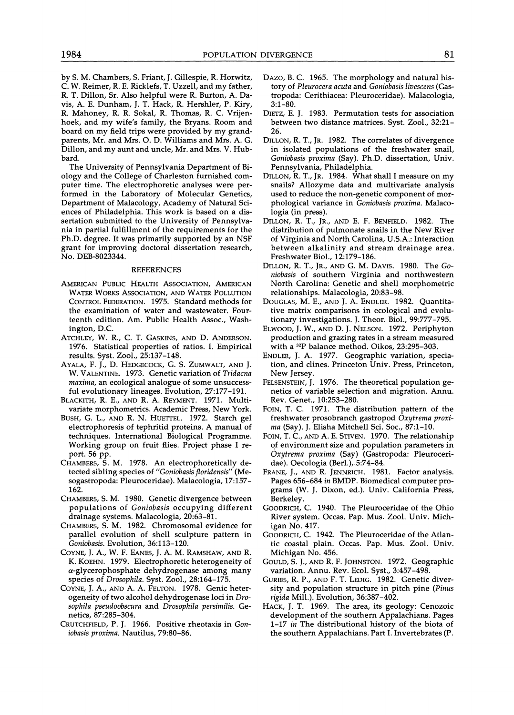by S. M. Chambers, S. Friant, J. Gillespie, R. Horwitz, C. W. Reimer, R. E. Ricklefs, T. Uzzell, and my father, R. T. Dillon, Sr. Also helpful were R. Burton, **A.** Davis, A. E. Dunham, J. T. Hack, R. Hershler, P. Kiry, R. Mahoney, R. R. Sokal, R. Thomas, R. C. Vrijenhoek, and my wife's family, the Bryans. Room and board on my field trips were provided by my grandparents, Mr. and Mrs. 0.D. Williams and Mrs. A. G. Dillon, and my aunt and uncle, Mr. and Mrs. V. Hubbard.

The University of Pennsylvania Department of Biology and the College of Charleston furnished computer time. The electrophoretic analyses were performed in the Laboratory of Molecular Genetics, Department of Malacology, Academy of Natural Sciences of Philadelphia. This work is based on a dissertation submitted to the University of Pennsylvania in partial fulfillment of the requirements for the Ph.D. degree. It was primarily supported by an NSF grant for improving doctoral dissertation research,

#### REFERENCES

- AMERICAN PUBLIC HEALTH ASSOCIATION, AMERICAN WATER WORKS ASSOCIATION, AND WATER POLLUTION relationships. Malacologia, 20:83-98. CONTROL FEDERATION. 1975. Standard methods for the examination of water and wastewater. Fourteenth edition. Am. Public Health Assoc., Washington, D.C.
- ATCHLEY, W. R., C. T. GASKINS, AND D. ANDERSON. 1976. Statistical properties of ratios. I. Empirical results. Syst. Zool., 25:137-148.
- AYALA,F. J., D. HEDGECOCK, G. S. ZUMWALT, AND J. W. VALENTINE. 1973. Genetic variation of *Tridacna maxima,* an ecological analogue of some unsuccessful evolutionary lineages. Evolution, 27:177-191.
- BLACKITH, R.E., AND R. A. REYMENT. 1971. Multivariate morphometrics. Academic Press, New York.
- BUSH, G. L., AND R. N. HUETTEL. 1972. Starch gel electrophoresis of tephritid proteins. A manual of techniques. International Biological Programme. Working group on fruit flies. Project phase I report. 56 pp.
- CHAMBERS, S. M. 1978. An electrophoretically detected sibling species of *"Goniobasis floridensis"* (Mesogastropoda: Pleuroceridae). Malacologia, 17:157- 162.
- CHAMBERS, S. M. 1980. Genetic divergence between populations of *Goniobasis* occupying different drainage systems. Malacologia, 20:63-81.
- CHAMBERS, S. M. 1982. Chromosomal evidence for parallel evolution of shell sculpture pattern in *Goniobasis.* Evolution, 36:113-120.
- COYNE,J. A,, W. F. EANES, J. A. M. RAMSHAW, AND R. K. KOEHN. 1979. Electrophoretic heterogeneity of a-glycerophosphate dehydrogenase among many species of *Drosophila.* Syst. Zool., 28:164-175.
- COYNE, J. A., AND A. A. FELTON. 1978. Genic heterogeneity of two alcohol dehydrogenase loci in *Drosophila pseudoobscura* and *Drosophila persimilis.* Genetics, 87:285-304.
- CRUTCHFIELD, P. J. 1966. Positive rheotaxis in *Goniobasis proxima.* Nautilus, 79:80-86.
- DAZO, B. C. 1965. The morphology and natural history of *Pleurocera acuta* and *Goniobasis livescens* (Gastropoda: Cerithiacea: Pleuroceridae). Malacologia, 3:l-80.
- DIETZ, E. J. 1983. Permutation tests for association between two distance matrices. Syst. Zool., 32:21- 26.
- DILLON, R. T., JR. 1982. The correlates of divergence in isolated populations of the freshwater snail, *Goniobasis proxima* (Say). Ph.D, dissertation, Univ. Pennsylvania, Philadelphia.
- DILLON, R. T., JR. 1984. What shall I measure on my snails? Allozyme data and multivariate analysis used to reduce the non-genetic component of morphological variance in *Goniobasis proxima.* Malacologia (in press).
- DILLON,R. T., JR., AND E. F. BENFIELD. 1982. The distribution of pulmonate snails in the New River of Virginia and North Carolina, U.S.A.: Interaction between alkalinity and stream drainage area. Freshwater Biol., 12:179-186.
- DILLON,R. T., JR., AND G. M. DAVIS. 1980. The *GOniobasis* of southern Virginia and northwestern North Carolina: Genetic and shell morphometric
- DOUGLAS, M. E., AND J. A. ENDLER. 1982. Quantitative matrix comparisons in ecological and evolutionary investigations. J. Theor. Biol., 99:777-795.
- ELWOOD, J. W., AND D. J. NELSON. 1972. Periphyton production and grazing rates in a stream measured with a <sup>32</sup>P balance method. Oikos, 23:295-303.
- ENDLER,J. A. 1977. Geographic variation, speciation, and clines. Princeton Univ. Press, Princeton, New Jersey.
- FELSENSTEIN, J. 1976. The theoretical population genetics of variable selection and migration. Annu. Rev. Genet., 10:253-280.
- FOIN, T. C. 1971. The distribution pattern of the freshwater prosobranch gastropod *Oxytrema proxi*ma (Say). J. Elisha Mitchell Sci. Soc., 87:1-10.
- FOIN, T. C., AND A. E. STIVEN. 1970. The relationship of environment size and population parameters in *Oxytrema proxima* (Say) (Gastropoda: Pleuroceridae). Oecologia (Ber1.),.5:74-84.
- FRANE, J., AND R. JENNRICH. 1981. Factor analysis. Pages 656-684 *in* BMDP. Biomedical computer programs (W. J. Dixon, ed.). Univ. California Press, Berkeley.
- GOODRICH, C. 1940. The Pleuroceridae of the Ohio River system. Occas. Pap. Mus. Zool. Univ. Michigan No. 417.
- GOODRICH, C.1942. The Pleuroceridae of the Atlantic coastal plain. Occas. Pap. Mus. Zool. Univ. Michigan No. 456.
- GOULD, S. J., AND R. F. JOHNSTON. 1972. Geographic variation. Annu. Rev. Ecol. Syst., 3:457-498.
- GURIES,R. P., AND F. T. LEDIG. 1982. Genetic diversity and population structure in pitch pine *(Pinus rigida* Mill.). Evolution, 36:387-402.
- HACK, J. T. 1969. The area, its geology: Cenozoic development of the southern Appalachians. Pages 1-17 *in* The distributional history of the biota of the southern Appalachians. Part I. Invertebrates (P.